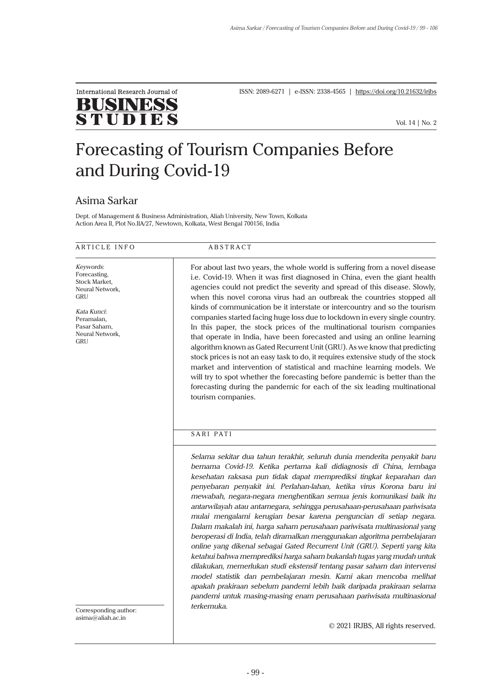

ISSN: 2089-6271 | e-ISSN: 2338-4565 | https://doi.org/10.21632/irjbs

Vol. 14 | No. 2

# Forecasting of Tourism Companies Before and During Covid-19

## Asima Sarkar

Dept. of Management & Business Administration, Aliah University, New Town, Kolkata Action Area II, Plot No.IIA/27, Newtown, Kolkata, West Bengal 700156, India

#### ARTICLE INFO ABSTRACT

*Keywords*: Forecasting, Stock Market, Neural Network, GRU

*Kata Kunci*: Peramalan, Pasar Saham, Neural Network, **GRU** 

For about last two years, the whole world is suffering from a novel disease i.e. Covid-19. When it was first diagnosed in China, even the giant health agencies could not predict the severity and spread of this disease. Slowly, when this novel corona virus had an outbreak the countries stopped all kinds of communication be it interstate or intercountry and so the tourism companies started facing huge loss due to lockdown in every single country. In this paper, the stock prices of the multinational tourism companies that operate in India, have been forecasted and using an online learning algorithm known as Gated Recurrent Unit (GRU). As we know that predicting stock prices is not an easy task to do, it requires extensive study of the stock market and intervention of statistical and machine learning models. We will try to spot whether the forecasting before pandemic is better than the forecasting during the pandemic for each of the six leading multinational tourism companies.

### SARI PATI

*Selama sekitar dua tahun terakhir, seluruh dunia menderita penyakit baru bernama Covid-19. Ketika pertama kali didiagnosis di China, lembaga kesehatan raksasa pun tidak dapat memprediksi tingkat keparahan dan penyebaran penyakit ini. Perlahan-lahan, ketika virus Korona baru ini mewabah, negara-negara menghentikan semua jenis komunikasi baik itu antarwilayah atau antarnegara, sehingga perusahaan-perusahaan pariwisata mulai mengalami kerugian besar karena penguncian di setiap negara. Dalam makalah ini, harga saham perusahaan pariwisata multinasional yang beroperasi di India, telah diramalkan menggunakan algoritma pembelajaran online yang dikenal sebagai Gated Recurrent Unit (GRU). Seperti yang kita ketahui bahwa memprediksi harga saham bukanlah tugas yang mudah untuk dilakukan, memerlukan studi ekstensif tentang pasar saham dan intervensi model statistik dan pembelajaran mesin. Kami akan mencoba melihat apakah prakiraan sebelum pandemi lebih baik daripada prakiraan selama pandemi untuk masing-masing enam perusahaan pariwisata multinasional terkemuka.*

Corresponding author: asima@aliah.ac.in

© 2021 IRJBS, All rights reserved.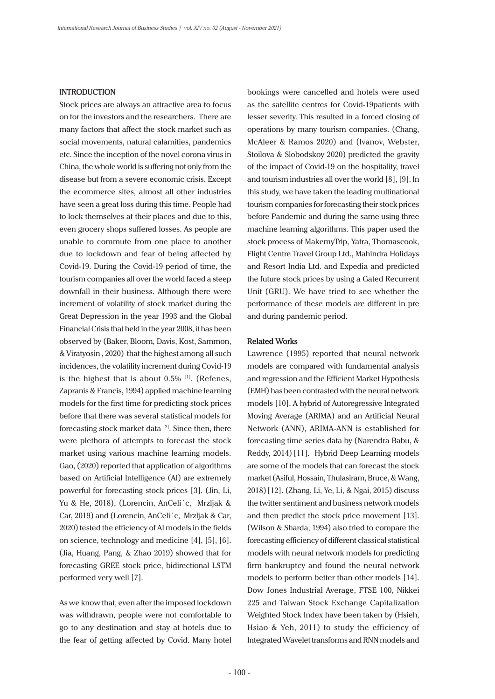#### **INTRODUCTION**

Stock prices are always an attractive area to focus on for the investors and the researchers. There are many factors that affect the stock market such as social movements, natural calamities, pandemics etc. Since the inception of the novel corona virus in China, the whole world is suffering not only from the disease but from a severe economic crisis. Except the ecommerce sites, almost all other industries have seen a great loss during this time. People had to lock themselves at their places and due to this, even grocery shops suffered losses. As people are unable to commute from one place to another due to lockdown and fear of being affected by Covid-19. During the Covid-19 period of time, the tourism companies all over the world faced a steep downfall in their business. Although there were increment of volatility of stock market during the Great Depression in the year 1993 and the Global Financial Crisis that held in the year 2008, it has been observed by (Baker, Bloom, Davis, Kost, Sammon, & Viratyosin , 2020) that the highest among all such incidences, the volatility increment during Covid-19 is the highest that is about  $0.5\%$  [1]. (Refenes, Zapranis & Francis, 1994) applied machine learning models for the first time for predicting stock prices before that there was several statistical models for forecasting stock market data [2]. Since then, there were plethora of attempts to forecast the stock market using various machine learning models. Gao, (2020) reported that application of algorithms based on Artificial Intelligence (AI) are extremely powerful for forecasting stock prices [3]. (Jin, Li, Yu & He, 2018), (Lorencin, AnCeli´c, Mrzljak & Car, 2019) and (Lorencin, AnCeli´c, Mrzljak & Car, 2020) tested the efficiency of AI models in the fields on science, technology and medicine [4], [5], [6]. (Jia, Huang, Pang, & Zhao 2019) showed that for forecasting GREE stock price, bidirectional LSTM performed very well [7].

As we know that, even after the imposed lockdown was withdrawn, people were not comfortable to go to any destination and stay at hotels due to the fear of getting affected by Covid. Many hotel bookings were cancelled and hotels were used as the satellite centres for Covid-19patients with lesser severity. This resulted in a forced closing of operations by many tourism companies. (Chang, McAleer & Ramos 2020) and (Ivanov, Webster, Stoilova & Slobodskoy 2020) predicted the gravity of the impact of Covid-19 on the hospitality, travel and tourism industries all over the world [8], [9]. In this study, we have taken the leading multinational tourism companies for forecasting their stock prices before Pandemic and during the same using three machine learning algorithms. This paper used the stock process of MakemyTrip, Yatra, Thomascook, Flight Centre Travel Group Ltd., Mahindra Holidays and Resort India Ltd. and Expedia and predicted the future stock prices by using a Gated Recurrent Unit (GRU). We have tried to see whether the performance of these models are different in pre and during pandemic period.

#### **Related Works**

Lawrence (1995) reported that neural network models are compared with fundamental analysis and regression and the Efficient Market Hypothesis (EMH) has been contrasted with the neural network models [10]. A hybrid of Autoregressive Integrated Moving Average (ARIMA) and an Artificial Neural Network (ANN), ARIMA-ANN is established for forecasting time series data by (Narendra Babu, & Reddy, 2014) [11]. Hybrid Deep Learning models are some of the models that can forecast the stock market (Asiful, Hossain, Thulasiram, Bruce, & Wang, 2018)[12]. (Zhang, Li, Ye, Li, & Ngai, 2015) discuss the twitter sentiment and business network models and then predict the stock price movement [13]. (Wilson & Sharda, 1994) also tried to compare the forecasting efficiency of different classical statistical models with neural network models for predicting firm bankruptcy and found the neural network models to perform better than other models [14]. Dow Jones Industrial Average, FTSE 100, Nikkei 225 and Taiwan Stock Exchange Capitalization Weighted Stock Index have been taken by (Hsieh, Hsiao & Yeh, 2011) to study the efficiency of Integrated Wavelet transforms and RNN models and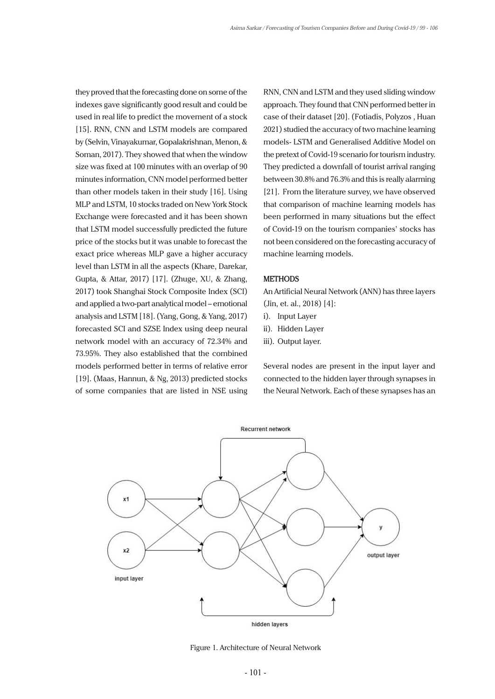they proved that the forecasting done on some of the indexes gave significantly good result and could be used in real life to predict the movement of a stock [15]. RNN, CNN and LSTM models are compared by (Selvin, Vinayakumar, Gopalakrishnan, Menon, & Soman, 2017). They showed that when the window size was fixed at 100 minutes with an overlap of 90 minutes information, CNN model performed better than other models taken in their study [16]. Using MLP and LSTM, 10 stocks traded on New York Stock Exchange were forecasted and it has been shown that LSTM model successfully predicted the future price of the stocks but it was unable to forecast the exact price whereas MLP gave a higher accuracy level than LSTM in all the aspects (Khare, Darekar, Gupta, & Attar, 2017) [17]. (Zhuge, XU, & Zhang, 2017) took Shanghai Stock Composite Index (SCI) and applied a two-part analytical model – emotional analysis and LSTM [18]. (Yang, Gong, & Yang, 2017) forecasted SCI and SZSE Index using deep neural network model with an accuracy of 72.34% and 73.95%. They also established that the combined models performed better in terms of relative error [19]. (Maas, Hannun, & Ng, 2013) predicted stocks of some companies that are listed in NSE using

RNN, CNN and LSTM and they used sliding window approach. They found that CNN performed better in case of their dataset [20]. (Fotiadis, Polyzos , Huan 2021) studied the accuracy of two machine learning models- LSTM and Generalised Additive Model on the pretext of Covid-19 scenario for tourism industry. They predicted a downfall of tourist arrival ranging between 30.8% and 76.3% and this is really alarming [21]. From the literature survey, we have observed that comparison of machine learning models has been performed in many situations but the effect of Covid-19 on the tourism companies' stocks has not been considered on the forecasting accuracy of machine learning models.

#### **METHODS**

An Artificial Neural Network (ANN) has three layers (Jin, et. al., 2018) [4]:

- i). Input Layer
- ii). Hidden Layer
- iii). Output layer.

Several nodes are present in the input layer and connected to the hidden layer through synapses in the Neural Network. Each of these synapses has an



Figure 1. Architecture of Neural Network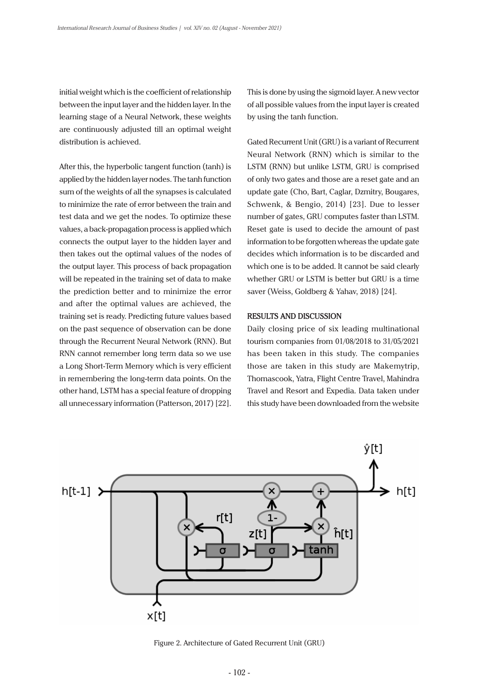initial weight which is the coefficient of relationship between the input layer and the hidden layer. In the learning stage of a Neural Network, these weights are continuously adjusted till an optimal weight distribution is achieved.

After this, the hyperbolic tangent function (tanh) is applied by the hidden layer nodes. The tanh function sum of the weights of all the synapses is calculated to minimize the rate of error between the train and test data and we get the nodes. To optimize these values, a back-propagation process is applied which connects the output layer to the hidden layer and then takes out the optimal values of the nodes of the output layer. This process of back propagation will be repeated in the training set of data to make the prediction better and to minimize the error and after the optimal values are achieved, the training set is ready. Predicting future values based on the past sequence of observation can be done through the Recurrent Neural Network (RNN). But RNN cannot remember long term data so we use a Long Short-Term Memory which is very efficient in remembering the long-term data points. On the other hand, LSTM has a special feature of dropping all unnecessary information (Patterson, 2017) [22]. This is done by using the sigmoid layer. A new vector of all possible values from the input layer is created by using the tanh function.

Gated Recurrent Unit (GRU) is a variant of Recurrent Neural Network (RNN) which is similar to the LSTM (RNN) but unlike LSTM, GRU is comprised of only two gates and those are a reset gate and an update gate (Cho, Bart, Caglar, Dzmitry, Bougares, Schwenk, & Bengio, 2014) [23]. Due to lesser number of gates, GRU computes faster than LSTM. Reset gate is used to decide the amount of past information to be forgotten whereas the update gate decides which information is to be discarded and which one is to be added. It cannot be said clearly whether GRU or LSTM is better but GRU is a time saver (Weiss, Goldberg & Yahav, 2018) [24].

#### **RESULTS AND DISCUSSION**

Daily closing price of six leading multinational tourism companies from 01/08/2018 to 31/05/2021 has been taken in this study. The companies those are taken in this study are Makemytrip, Thomascook, Yatra, Flight Centre Travel, Mahindra Travel and Resort and Expedia. Data taken under this study have been downloaded from the website



Figure 2. Architecture of Gated Recurrent Unit (GRU)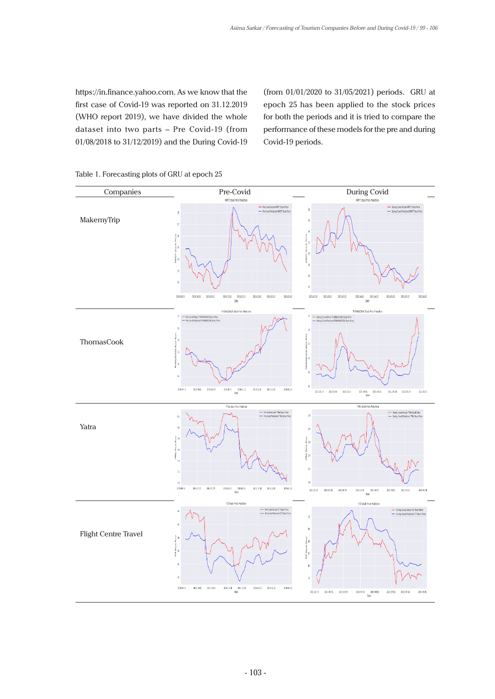https://in.finance.yahoo.com. As we know that the first case of Covid-19 was reported on 31.12.2019 (WHO report 2019), we have divided the whole dataset into two parts – Pre Covid-19 (from 01/08/2018 to 31/12/2019) and the During Covid-19

(from 01/01/2020 to 31/05/2021) periods. GRU at epoch 25 has been applied to the stock prices for both the periods and it is tried to compare the performance of these models for the pre and during Covid-19 periods.



Table 1. Forecasting plots of GRU at epoch 25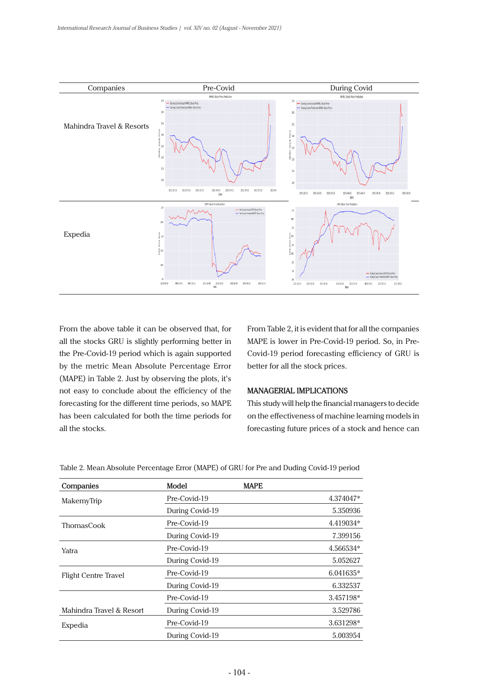

From the above table it can be observed that, for all the stocks GRU is slightly performing better in the Pre-Covid-19 period which is again supported by the metric Mean Absolute Percentage Error (MAPE) in Table 2. Just by observing the plots, it's not easy to conclude about the efficiency of the forecasting for the different time periods, so MAPE has been calculated for both the time periods for all the stocks.

From Table 2, it is evident that for all the companies MAPE is lower in Pre-Covid-19 period. So, in Pre-Covid-19 period forecasting efficiency of GRU is better for all the stock prices.

#### **MANAGERIAL IMPLICATIONS**

This study will help the financial managers to decide on the effectiveness of machine learning models in forecasting future prices of a stock and hence can

| Companies                   | Model           | <b>MAPE</b> |
|-----------------------------|-----------------|-------------|
| MakemyTrip                  | Pre-Covid-19    | 4.374047*   |
|                             | During Covid-19 | 5.350936    |
| ThomasCook                  | Pre-Covid-19    | 4.419034*   |
|                             | During Covid-19 | 7.399156    |
| Yatra                       | Pre-Covid-19    | 4.566534*   |
|                             | During Covid-19 | 5.052627    |
| <b>Flight Centre Travel</b> | Pre-Covid-19    | 6.041635*   |
|                             | During Covid-19 | 6.332537    |
|                             | Pre-Covid-19    | 3.457198*   |
| Mahindra Travel & Resort    | During Covid-19 | 3.529786    |
| Expedia                     | Pre-Covid-19    | 3.631298*   |
|                             | During Covid-19 | 5.003954    |

Table 2. Mean Absolute Percentage Error (MAPE) of GRU for Pre and Duding Covid-19 period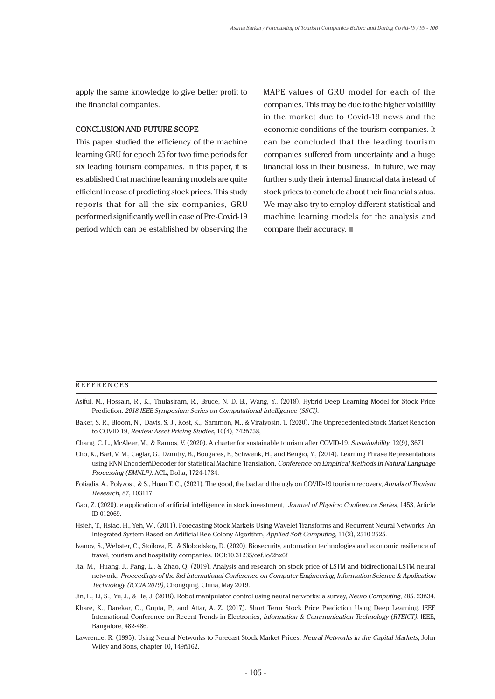apply the same knowledge to give better profit to the financial companies.

#### **CONCLUSION AND FUTURE SCOPE**

This paper studied the efficiency of the machine learning GRU for epoch 25 for two time periods for six leading tourism companies. In this paper, it is established that machine learning models are quite efficient in case of predicting stock prices. This study reports that for all the six companies, GRU performed significantly well in case of Pre-Covid-19 period which can be established by observing the

MAPE values of GRU model for each of the companies. This may be due to the higher volatility in the market due to Covid-19 news and the economic conditions of the tourism companies. It can be concluded that the leading tourism companies suffered from uncertainty and a huge financial loss in their business. In future, we may further study their internal financial data instead of stock prices to conclude about their financial status. We may also try to employ different statistical and machine learning models for the analysis and compare their accuracy.

#### **REFERENCES**

- Asiful, M., Hossain, R., K., Thulasiram, R., Bruce, N. D. B., Wang, Y., (2018). Hybrid Deep Learning Model for Stock Price Prediction. *2018 IEEE Symposium Series on Computational Intelligence (SSCI).*
- Baker, S. R., Bloom, N., Davis, S. J., Kost, K., Sammon, M., & Viratyosin, T. (2020). The Unprecedented Stock Market Reaction to COVID-19, *Review Asset Pricing Studies*, 10(4), 742ñ758,
- Chang, C. L., McAleer, M., & Ramos, V. (2020). A charter for sustainable tourism after COVID-19. *Sustainability*, 12(9), 3671.
- Cho, K., Bart, V. M., Caglar, G., Dzmitry, B., Bougares, F., Schwenk, H., and Bengio, Y., (2014). Learning Phrase Representations using RNN EncoderñDecoder for Statistical Machine Translation, *Conference on Empirical Methods in Natural Language Processing (EMNLP)*. ACL, Doha, 1724-1734.
- Fotiadis, A., Polyzos , & S., Huan T. C., (2021). The good, the bad and the ugly on COVID-19 tourism recovery, *Annals of Tourism Research*, 87, 103117
- Gao, Z. (2020). e application of artificial intelligence in stock investment, *Journal of Physics: Conference Series*, 1453, Article ID 012069.
- Hsieh, T., Hsiao, H., Yeh, W., (2011), Forecasting Stock Markets Using Wavelet Transforms and Recurrent Neural Networks: An Integrated System Based on Artificial Bee Colony Algorithm, *Applied Soft Computing*, 11(2), 2510-2525.
- Ivanov, S., Webster, C., Stoilova, E., & Slobodskoy, D. (2020). Biosecurity, automation technologies and economic resilience of travel, tourism and hospitality companies. DOI:10.31235/osf.io/2hx6f
- Jia, M., Huang, J., Pang, L., & Zhao, Q. (2019). Analysis and research on stock price of LSTM and bidirectional LSTM neural network, *Proceedings of the 3rd International Conference on Computer Engineering, Information Science & Application Technology (ICCIA 2019),* Chongqing, China, May 2019.
- Jin, L., Li, S., Yu, J., & He, J. (2018). Robot manipulator control using neural networks: a survey, *Neuro Computing*, 285. 23ñ34.
- Khare, K., Darekar, O., Gupta, P., and Attar, A. Z. (2017). Short Term Stock Price Prediction Using Deep Learning. IEEE International Conference on Recent Trends in Electronics, *Information & Communication Technology (RTEICT).* IEEE, Bangalore, 482-486.
- Lawrence, R. (1995). Using Neural Networks to Forecast Stock Market Prices. *Neural Networks in the Capital Markets*, John Wiley and Sons, chapter 10, 149ñ162.